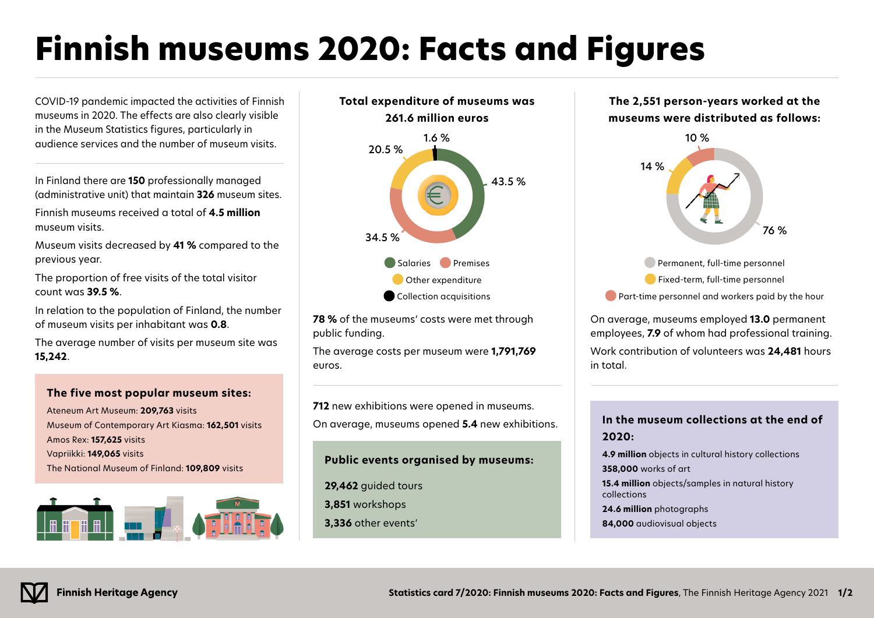# **Finnish museums 2020: Facts and Figures**

COVID-19 pandemic impacted the activities of Finnish museums in 2020. The effects are also clearly visible in the Museum Statistics figures, particularly in audience services and the number of museum visits.

In Finland there are **150** professionally managed (administrative unit) that maintain **326** museum sites.

Finnish museums received a total of **4.5 million** museum visits.

Museum visits decreased by **41 %** compared to the previous year.

The proportion of free visits of the total visitor count was **39.5 %**.

In relation to the population of Finland, the number of museum visits per inhabitant was **0.8**.

The average number of visits per museum site was **15,242**.

# **The five most popular museum sites:**

Ateneum Art Museum: **209,763** visits Museum of Contemporary Art Kiasma: **162,501** visits Amos Rex: **157,625** visits Vapriikki: **149,065** visits The National Museum of Finland: **109,809** visits





**78 %** of the museums' costs were met through public funding.

The average costs per museum were **1,791,769** euros.

**712** new exhibitions were opened in museums. On average, museums opened **5.4** new exhibitions.

# **Public events organised by museums:**

- **29,462** quided tours
- **3,851** workshops
- **3,336** other events'





**Part-time personnel and workers paid by the hour** 

On average, museums employed **13.0** permanent employees, **7.9** of whom had professional training. Work contribution of volunteers was **24,481** hours in total.

# **In the museum collections at the end of 2020:**

**4.9 million** objects in cultural history collections

**358,000** works of art

**15.4 million** objects/samples in natural history collections

**24.6 million** photographs

**84,000** audiovisual objects